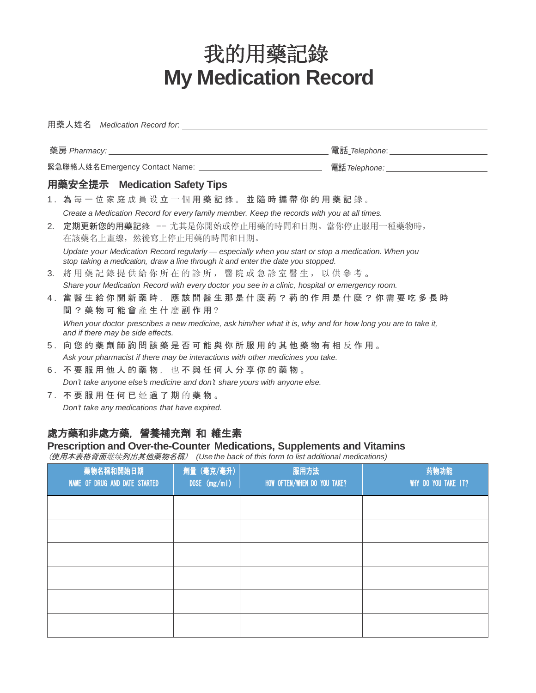## **My Medication Record** 我的用藥記錄

| 用藥人姓名 <i>Medication Record for</i> : the community of the control of the control of the control of the control of the control of the control of the control of the control of the control of the control of the control of the cont |                |                             |                     |  |  |
|-------------------------------------------------------------------------------------------------------------------------------------------------------------------------------------------------------------------------------------|----------------|-----------------------------|---------------------|--|--|
|                                                                                                                                                                                                                                     |                |                             |                     |  |  |
|                                                                                                                                                                                                                                     |                |                             |                     |  |  |
| 用藥安全提示 Medication Safety Tips                                                                                                                                                                                                       |                |                             |                     |  |  |
| 1. 為每一位家庭成員设立一個用藥記錄。並隨時攜帶你的用藥記錄。                                                                                                                                                                                                    |                |                             |                     |  |  |
| Create a Medication Record for every family member. Keep the records with you at all times.                                                                                                                                         |                |                             |                     |  |  |
| 定期更新您的用藥記錄 -- 尤其是你開始或停止用藥的時間和日期。當你停止服用一種藥物時,<br>2.<br>在該藥名上畫線,然後寫上停止用藥的時間和日期。                                                                                                                                                       |                |                             |                     |  |  |
| Update your Medication Record regularly - especially when you start or stop a medication. When you<br>stop taking a medication, draw a line through it and enter the date you stopped.                                              |                |                             |                     |  |  |
| 3. 將用藥記錄提供給你所在的診所, 醫院或急診室醫生, 以供參考。                                                                                                                                                                                                  |                |                             |                     |  |  |
| Share your Medication Record with every doctor you see in a clinic, hospital or emergency room.                                                                                                                                     |                |                             |                     |  |  |
| 4. 當 醫 生 給 你 開 新 藥 時 , 應 該 問 醫 生 那 是 什 麼 葯 ? 葯 的 作 用 是 什 麼 ? 你 需 要 吃 多 長 時<br>間 ? 藥物可能會產生什麼副作用?                                                                                                                                     |                |                             |                     |  |  |
| When your doctor prescribes a new medicine, ask him/her what it is, why and for how long you are to take it,<br>and if there may be side effects.                                                                                   |                |                             |                     |  |  |
| 5. 向您的藥劑師詢問該藥是否可能與你所服用的其他藥物有相反作用。                                                                                                                                                                                                   |                |                             |                     |  |  |
| Ask your pharmacist if there may be interactions with other medicines you take.                                                                                                                                                     |                |                             |                     |  |  |
| 6. 不要服用他人的藥物, 也不與任何人分享你的藥物。                                                                                                                                                                                                         |                |                             |                     |  |  |
| Don't take anyone else's medicine and don't share yours with anyone else.                                                                                                                                                           |                |                             |                     |  |  |
| 7. 不要服用任何已经過了期的藥物。                                                                                                                                                                                                                  |                |                             |                     |  |  |
| Don't take any medications that have expired.                                                                                                                                                                                       |                |                             |                     |  |  |
| 處方藥和非處方藥, 營養補充劑 和 維生素<br>Prescription and Over-the-Counter Medications, Supplements and Vitamins<br>(使用本表格背面继续列出其他藥物名稱) (Use the back of this form to list additional medications)                                                  |                |                             |                     |  |  |
| 藥物名稱和開始日期                                                                                                                                                                                                                           | 劑量 (毫克/毫升)     | 服用方法                        | 药物功能                |  |  |
| NAME OF DRUG AND DATE STARTED                                                                                                                                                                                                       | DOSE $(mg/ml)$ | HOW OFTEN/WHEN DO YOU TAKE? | WHY DO YOU TAKE IT? |  |  |
|                                                                                                                                                                                                                                     |                |                             |                     |  |  |
|                                                                                                                                                                                                                                     |                |                             |                     |  |  |
|                                                                                                                                                                                                                                     |                |                             |                     |  |  |
|                                                                                                                                                                                                                                     |                |                             |                     |  |  |
|                                                                                                                                                                                                                                     |                |                             |                     |  |  |